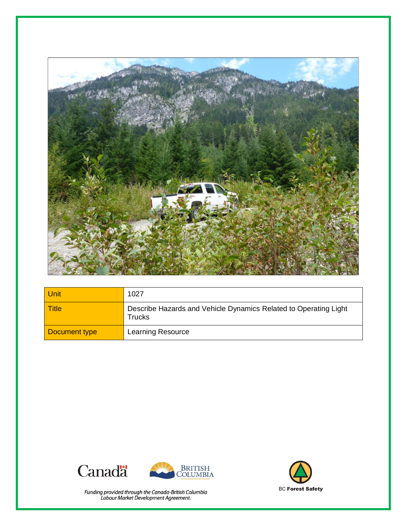

| Unit          | 1027                                                                              |
|---------------|-----------------------------------------------------------------------------------|
| <b>Title</b>  | Describe Hazards and Vehicle Dynamics Related to Operating Light<br><b>Trucks</b> |
| Document type | Learning Resource                                                                 |





Funding provided through the Canada-British Columbia<br>Labour Market Development Agreement.

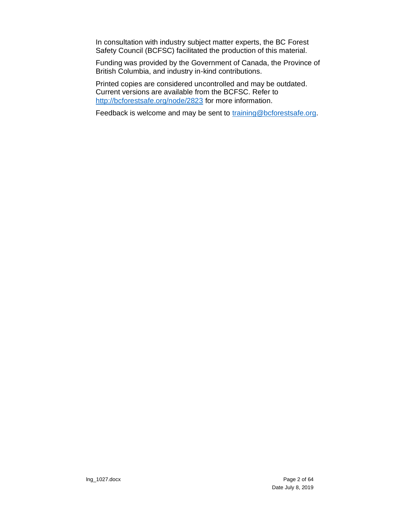In consultation with industry subject matter experts, the BC Forest Safety Council (BCFSC) facilitated the production of this material.

Funding was provided by the Government of Canada, the Province of British Columbia, and industry in-kind contributions.

Printed copies are considered uncontrolled and may be outdated. Current versions are available from the BCFSC. Refer to <http://bcforestsafe.org/node/2823> for more information.

Feedback is welcome and may be sent to [training@bcforestsafe.org.](file:///C:/Users/Messier/AppData/Local/Temp/training@bcforestsafe.org)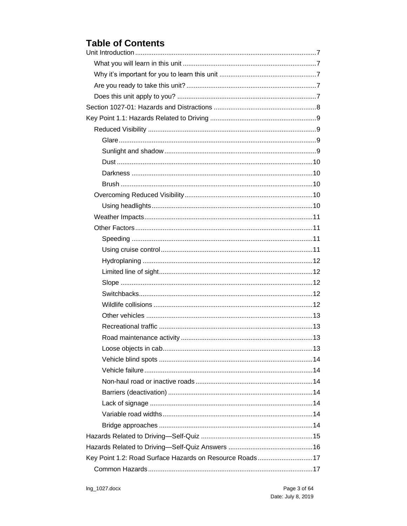### **Table of Contents**

| Key Point 1.2: Road Surface Hazards on Resource Roads17 |  |
|---------------------------------------------------------|--|
|                                                         |  |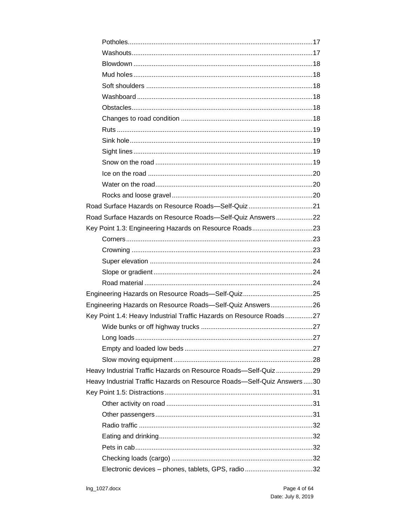| Mud holes………………………………………………………………………………………18                           |
|------------------------------------------------------------------------|
|                                                                        |
|                                                                        |
|                                                                        |
|                                                                        |
|                                                                        |
|                                                                        |
|                                                                        |
|                                                                        |
|                                                                        |
|                                                                        |
|                                                                        |
| Road Surface Hazards on Resource Roads-Self-Quiz21                     |
| Road Surface Hazards on Resource Roads-Self-Quiz Answers22             |
| Key Point 1.3: Engineering Hazards on Resource Roads23                 |
|                                                                        |
|                                                                        |
|                                                                        |
|                                                                        |
|                                                                        |
|                                                                        |
| Engineering Hazards on Resource Roads-Self-Quiz Answers26              |
| Key Point 1.4: Heavy Industrial Traffic Hazards on Resource Roads27    |
|                                                                        |
|                                                                        |
|                                                                        |
|                                                                        |
| Heavy Industrial Traffic Hazards on Resource Roads-Self-Quiz29         |
| Heavy Industrial Traffic Hazards on Resource Roads-Self-Quiz Answers30 |
|                                                                        |
|                                                                        |
|                                                                        |
|                                                                        |
|                                                                        |
|                                                                        |
|                                                                        |
|                                                                        |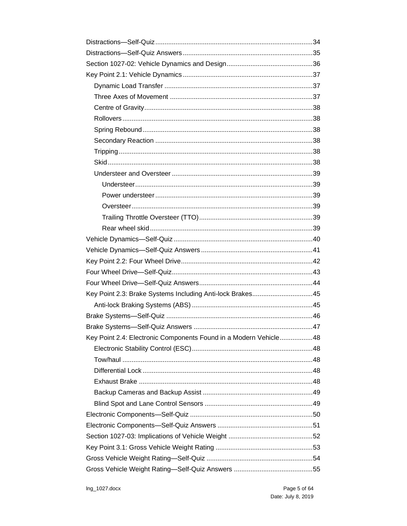| Key Point 2.3: Brake Systems Including Anti-lock Brakes45        |
|------------------------------------------------------------------|
|                                                                  |
|                                                                  |
|                                                                  |
|                                                                  |
| Key Point 2.4: Electronic Components Found in a Modern Vehicle48 |
|                                                                  |
|                                                                  |
|                                                                  |
|                                                                  |
|                                                                  |
|                                                                  |
|                                                                  |
|                                                                  |
|                                                                  |
|                                                                  |
|                                                                  |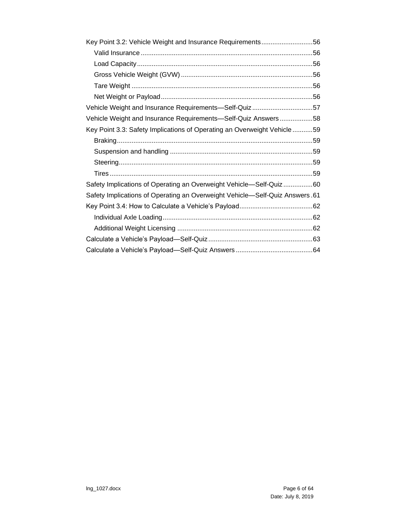| Vehicle Weight and Insurance Requirements-Self-Quiz 57                      |
|-----------------------------------------------------------------------------|
| Vehicle Weight and Insurance Requirements-Self-Quiz Answers58               |
| Key Point 3.3: Safety Implications of Operating an Overweight Vehicle59     |
|                                                                             |
|                                                                             |
|                                                                             |
|                                                                             |
| Safety Implications of Operating an Overweight Vehicle—Self-Quiz 60         |
| Safety Implications of Operating an Overweight Vehicle—Self-Quiz Answers.61 |
|                                                                             |
|                                                                             |
|                                                                             |
|                                                                             |
|                                                                             |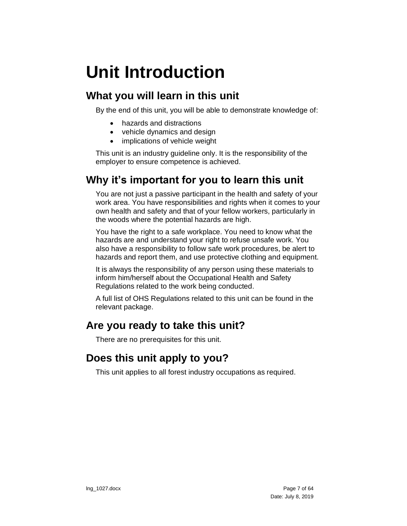# <span id="page-6-0"></span>**Unit Introduction**

## <span id="page-6-1"></span>**What you will learn in this unit**

By the end of this unit, you will be able to demonstrate knowledge of:

- hazards and distractions
- vehicle dynamics and design
- implications of vehicle weight

This unit is an industry guideline only. It is the responsibility of the employer to ensure competence is achieved.

## <span id="page-6-2"></span>**Why it's important for you to learn this unit**

You are not just a passive participant in the health and safety of your work area. You have responsibilities and rights when it comes to your own health and safety and that of your fellow workers, particularly in the woods where the potential hazards are high.

You have the right to a safe workplace. You need to know what the hazards are and understand your right to refuse unsafe work. You also have a responsibility to follow safe work procedures, be alert to hazards and report them, and use protective clothing and equipment.

It is always the responsibility of any person using these materials to inform him/herself about the Occupational Health and Safety Regulations related to the work being conducted.

A full list of OHS Regulations related to this unit can be found in the relevant package.

## <span id="page-6-3"></span>**Are you ready to take this unit?**

There are no prerequisites for this unit.

## <span id="page-6-4"></span>**Does this unit apply to you?**

This unit applies to all forest industry occupations as required.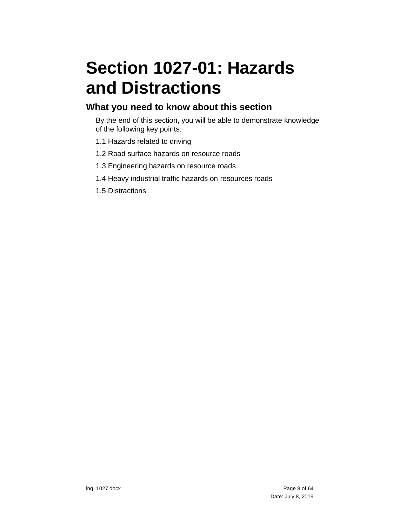# <span id="page-7-0"></span>**Section 1027-01: Hazards and Distractions**

#### **What you need to know about this section**

By the end of this section, you will be able to demonstrate knowledge of the following key points:

- 1.1 Hazards related to driving
- 1.2 Road surface hazards on resource roads
- 1.3 Engineering hazards on resource roads
- 1.4 Heavy industrial traffic hazards on resources roads
- 1.5 Distractions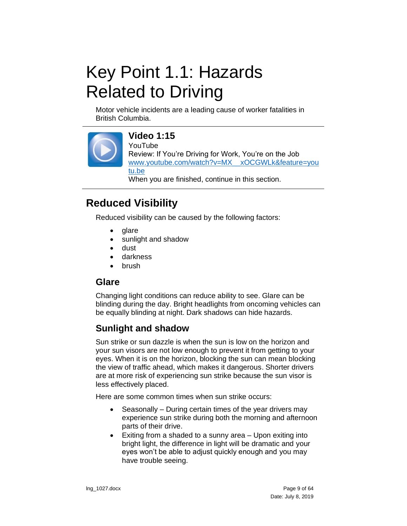# <span id="page-8-0"></span>Key Point 1.1: Hazards Related to Driving

Motor vehicle incidents are a leading cause of worker fatalities in British Columbia.



### **Video 1:15**

YouTube

Review: If You're Driving for Work, You're on the Job [www.youtube.com/watch?v=MX\\_\\_xOCGWLk&feature=you](https://www.youtube.com/watch?v=MX__xOCGWLk&feature=youtu.be) [tu.be](https://www.youtube.com/watch?v=MX__xOCGWLk&feature=youtu.be) When you are finished, continue in this section.

## <span id="page-8-1"></span>**Reduced Visibility**

Reduced visibility can be caused by the following factors:

- glare
- sunlight and shadow
- dust
- darkness
- brush

#### <span id="page-8-2"></span>**Glare**

Changing light conditions can reduce ability to see. Glare can be blinding during the day. Bright headlights from oncoming vehicles can be equally blinding at night. Dark shadows can hide hazards.

### <span id="page-8-3"></span>**Sunlight and shadow**

Sun strike or sun dazzle is when the sun is low on the horizon and your sun visors are not low enough to prevent it from getting to your eyes. When it is on the horizon, blocking the sun can mean blocking the view of traffic ahead, which makes it dangerous. Shorter drivers are at more risk of experiencing sun strike because the sun visor is less effectively placed.

Here are some common times when sun strike occurs:

- Seasonally During certain times of the year drivers may experience sun strike during both the morning and afternoon parts of their drive.
- Exiting from a shaded to a sunny area Upon exiting into bright light, the difference in light will be dramatic and your eyes won't be able to adjust quickly enough and you may have trouble seeing.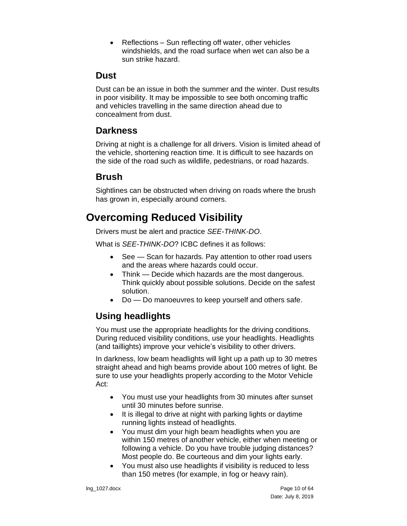• Reflections – Sun reflecting off water, other vehicles windshields, and the road surface when wet can also be a sun strike hazard.

#### <span id="page-9-0"></span>**Dust**

Dust can be an issue in both the summer and the winter. Dust results in poor visibility. It may be impossible to see both oncoming traffic and vehicles travelling in the same direction ahead due to concealment from dust.

### <span id="page-9-1"></span>**Darkness**

Driving at night is a challenge for all drivers. Vision is limited ahead of the vehicle, shortening reaction time. It is difficult to see hazards on the side of the road such as wildlife, pedestrians, or road hazards.

### <span id="page-9-2"></span>**Brush**

Sightlines can be obstructed when driving on roads where the brush has grown in, especially around corners.

## <span id="page-9-3"></span>**Overcoming Reduced Visibility**

Drivers must be alert and practice *SEE-THINK-DO*.

What is *SEE-THINK-DO*? ICBC defines it as follows:

- See Scan for hazards. Pay attention to other road users and the areas where hazards could occur.
- Think Decide which hazards are the most dangerous. Think quickly about possible solutions. Decide on the safest solution.
- Do Do manoeuvres to keep yourself and others safe.

### <span id="page-9-4"></span>**Using headlights**

You must use the appropriate headlights for the driving conditions. During reduced visibility conditions, use your headlights. Headlights (and taillights) improve your vehicle's visibility to other drivers.

In darkness, low beam headlights will light up a path up to 30 metres straight ahead and high beams provide about 100 metres of light. Be sure to use your headlights properly according to the Motor Vehicle Act:

- You must use your headlights from 30 minutes after sunset until 30 minutes before sunrise.
- It is illegal to drive at night with parking lights or daytime running lights instead of headlights.
- You must dim your high beam headlights when you are within 150 metres of another vehicle, either when meeting or following a vehicle. Do you have trouble judging distances? Most people do. Be courteous and dim your lights early.
- You must also use headlights if visibility is reduced to less than 150 metres (for example, in fog or heavy rain).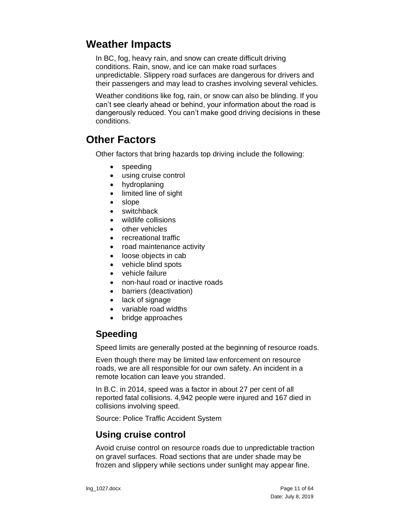### <span id="page-10-0"></span>**Weather Impacts**

In BC, fog, heavy rain, and snow can create difficult driving conditions. Rain, snow, and ice can make road surfaces unpredictable. Slippery road surfaces are dangerous for drivers and their passengers and may lead to crashes involving several vehicles.

Weather conditions like fog, rain, or snow can also be blinding. If you can't see clearly ahead or behind, your information about the road is dangerously reduced. You can't make good driving decisions in these conditions.

## <span id="page-10-1"></span>**Other Factors**

Other factors that bring hazards top driving include the following:

- speeding
- using cruise control
- hydroplaning
- limited line of sight
- slope
- switchback
- wildlife collisions
- other vehicles
- recreational traffic
- road maintenance activity
- loose objects in cab
- vehicle blind spots
- vehicle failure
- non-haul road or inactive roads
- barriers (deactivation)
- lack of signage
- variable road widths
- bridge approaches

### <span id="page-10-2"></span>**Speeding**

Speed limits are generally posted at the beginning of resource roads.

Even though there may be limited law enforcement on resource roads, we are all responsible for our own safety. An incident in a remote location can leave you stranded.

In B.C. in 2014, speed was a factor in about 27 per cent of all reported fatal collisions. 4,942 people were injured and 167 died in collisions involving speed.

Source: Police Traffic Accident System

### <span id="page-10-3"></span>**Using cruise control**

Avoid cruise control on resource roads due to unpredictable traction on gravel surfaces. Road sections that are under shade may be frozen and slippery while sections under sunlight may appear fine.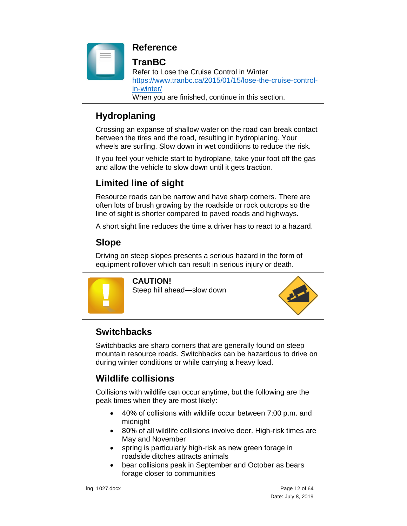

### **Reference**

#### **TranBC**

Refer to Lose the Cruise Control in Winter [https://www.tranbc.ca/2015/01/15/lose-the-cruise-control](https://www.tranbc.ca/2015/01/15/lose-the-cruise-control-in-winter/)[in-winter/](https://www.tranbc.ca/2015/01/15/lose-the-cruise-control-in-winter/) When you are finished, continue in this section.

### <span id="page-11-0"></span>**Hydroplaning**

Crossing an expanse of shallow water on the road can break contact between the tires and the road, resulting in hydroplaning. Your wheels are surfing. Slow down in wet conditions to reduce the risk.

If you feel your vehicle start to hydroplane, take your foot off the gas and allow the vehicle to slow down until it gets traction.

### <span id="page-11-1"></span>**Limited line of sight**

Resource roads can be narrow and have sharp corners. There are often lots of brush growing by the roadside or rock outcrops so the line of sight is shorter compared to paved roads and highways.

A short sight line reduces the time a driver has to react to a hazard.

### <span id="page-11-2"></span>**Slope**

Driving on steep slopes presents a serious hazard in the form of equipment rollover which can result in serious injury or death.



**CAUTION!**  Steep hill ahead—slow down



### <span id="page-11-3"></span>**Switchbacks**

Switchbacks are sharp corners that are generally found on steep mountain resource roads. Switchbacks can be hazardous to drive on during winter conditions or while carrying a heavy load.

### <span id="page-11-4"></span>**Wildlife collisions**

Collisions with wildlife can occur anytime, but the following are the peak times when they are most likely:

- 40% of collisions with wildlife occur between 7:00 p.m. and midnight
- 80% of all wildlife collisions involve deer. High-risk times are May and November
- spring is particularly high-risk as new green forage in roadside ditches attracts animals
- bear collisions peak in September and October as bears forage closer to communities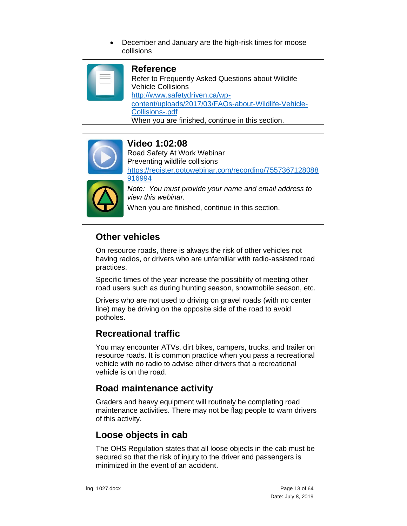• December and January are the high-risk times for moose collisions

#### **Reference**

Refer to Frequently Asked Questions about Wildlife Vehicle Collisions [http://www.safetydriven.ca/wp](http://www.safetydriven.ca/wp-content/uploads/2017/03/FAQs-about-Wildlife-Vehicle-Collisions-.pdf)[content/uploads/2017/03/FAQs-about-Wildlife-Vehicle-](http://www.safetydriven.ca/wp-content/uploads/2017/03/FAQs-about-Wildlife-Vehicle-Collisions-.pdf)[Collisions-.pdf](http://www.safetydriven.ca/wp-content/uploads/2017/03/FAQs-about-Wildlife-Vehicle-Collisions-.pdf) When you are finished, continue in this section.



#### **Video 1:02:08**

Road Safety At Work Webinar Preventing wildlife collisions [https://register.gotowebinar.com/recording/7557367128088](https://register.gotowebinar.com/recording/7557367128088916994) [916994](https://register.gotowebinar.com/recording/7557367128088916994)



*Note: You must provide your name and email address to view this webinar.*

When you are finished, continue in this section.

#### <span id="page-12-0"></span>**Other vehicles**

On resource roads, there is always the risk of other vehicles not having radios, or drivers who are unfamiliar with radio-assisted road practices.

Specific times of the year increase the possibility of meeting other road users such as during hunting season, snowmobile season, etc.

Drivers who are not used to driving on gravel roads (with no center line) may be driving on the opposite side of the road to avoid potholes.

### <span id="page-12-1"></span>**Recreational traffic**

You may encounter ATVs, dirt bikes, campers, trucks, and trailer on resource roads. It is common practice when you pass a recreational vehicle with no radio to advise other drivers that a recreational vehicle is on the road.

#### <span id="page-12-2"></span>**Road maintenance activity**

Graders and heavy equipment will routinely be completing road maintenance activities. There may not be flag people to warn drivers of this activity.

### <span id="page-12-3"></span>**Loose objects in cab**

The OHS Regulation states that all loose objects in the cab must be secured so that the risk of injury to the driver and passengers is minimized in the event of an accident.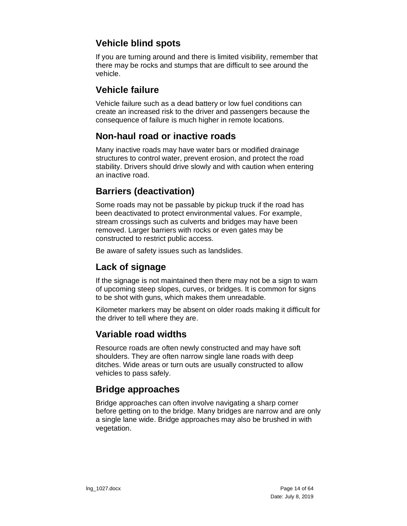### <span id="page-13-0"></span>**Vehicle blind spots**

If you are turning around and there is limited visibility, remember that there may be rocks and stumps that are difficult to see around the vehicle.

#### <span id="page-13-1"></span>**Vehicle failure**

Vehicle failure such as a dead battery or low fuel conditions can create an increased risk to the driver and passengers because the consequence of failure is much higher in remote locations.

### <span id="page-13-2"></span>**Non-haul road or inactive roads**

Many inactive roads may have water bars or modified drainage structures to control water, prevent erosion, and protect the road stability. Drivers should drive slowly and with caution when entering an inactive road.

### <span id="page-13-3"></span>**Barriers (deactivation)**

Some roads may not be passable by pickup truck if the road has been deactivated to protect environmental values. For example, stream crossings such as culverts and bridges may have been removed. Larger barriers with rocks or even gates may be constructed to restrict public access.

Be aware of safety issues such as landslides.

### <span id="page-13-4"></span>**Lack of signage**

If the signage is not maintained then there may not be a sign to warn of upcoming steep slopes, curves, or bridges. It is common for signs to be shot with guns, which makes them unreadable.

Kilometer markers may be absent on older roads making it difficult for the driver to tell where they are.

### <span id="page-13-5"></span>**Variable road widths**

Resource roads are often newly constructed and may have soft shoulders. They are often narrow single lane roads with deep ditches. Wide areas or turn outs are usually constructed to allow vehicles to pass safely.

### <span id="page-13-6"></span>**Bridge approaches**

Bridge approaches can often involve navigating a sharp corner before getting on to the bridge. Many bridges are narrow and are only a single lane wide. Bridge approaches may also be brushed in with vegetation.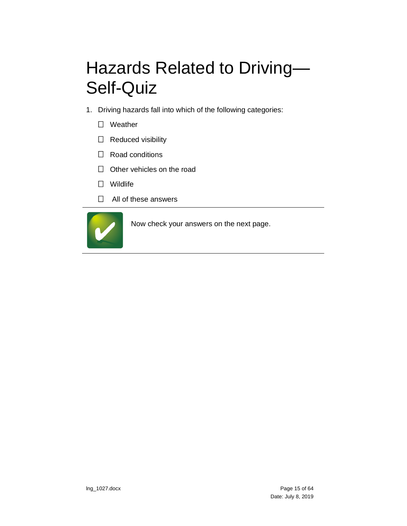# <span id="page-14-0"></span>Hazards Related to Driving— Self-Quiz

- 1. Driving hazards fall into which of the following categories:
	- □ Weather
	- $\Box$  Reduced visibility
	- $\Box$  Road conditions
	- $\Box$  Other vehicles on the road
	- Wildlife
	- □ All of these answers

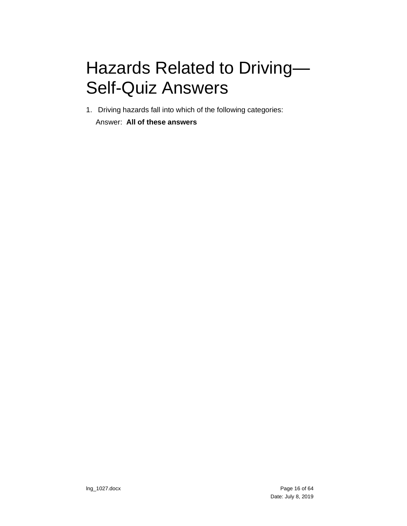# <span id="page-15-0"></span>Hazards Related to Driving— Self-Quiz Answers

1. Driving hazards fall into which of the following categories:

Answer: **All of these answers**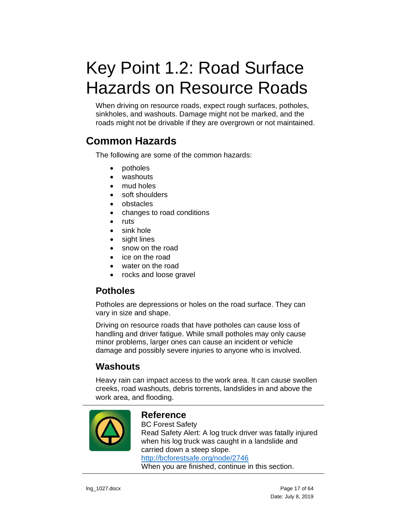# <span id="page-16-0"></span>Key Point 1.2: Road Surface Hazards on Resource Roads

When driving on resource roads, expect rough surfaces, potholes, sinkholes, and washouts. Damage might not be marked, and the roads might not be drivable if they are overgrown or not maintained.

## <span id="page-16-1"></span>**Common Hazards**

The following are some of the common hazards:

- potholes
- washouts
- mud holes
- soft shoulders
- obstacles
- changes to road conditions
- ruts
- sink hole
- sight lines
- snow on the road
- ice on the road
- water on the road
- rocks and loose gravel

### <span id="page-16-2"></span>**Potholes**

Potholes are depressions or holes on the road surface. They can vary in size and shape.

Driving on resource roads that have potholes can cause loss of handling and driver fatigue. While small potholes may only cause minor problems, larger ones can cause an incident or vehicle damage and possibly severe injuries to anyone who is involved.

### <span id="page-16-3"></span>**Washouts**

Heavy rain can impact access to the work area. It can cause swollen creeks, road washouts, debris torrents, landslides in and above the work area, and flooding.



#### **Reference**

BC Forest Safety Read Safety Alert: A log truck driver was fatally injured when his log truck was caught in a landslide and carried down a steep slope. <http://bcforestsafe.org/node/2746> When you are finished, continue in this section.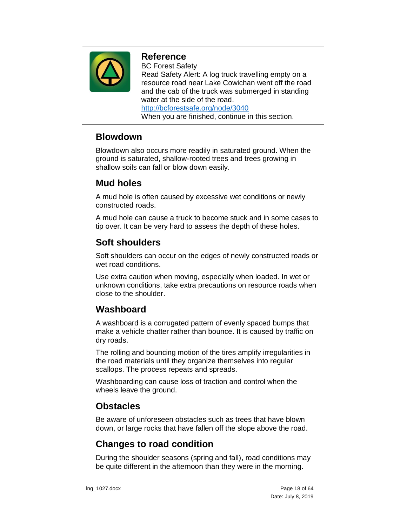

#### **Reference**

BC Forest Safety Read Safety Alert: A log truck travelling empty on a resource road near Lake Cowichan went off the road and the cab of the truck was submerged in standing water at the side of the road. <http://bcforestsafe.org/node/3040>

When you are finished, continue in this section.

### <span id="page-17-0"></span>**Blowdown**

Blowdown also occurs more readily in saturated ground. When the ground is saturated, shallow-rooted trees and trees growing in shallow soils can fall or blow down easily.

### <span id="page-17-1"></span>**Mud holes**

A mud hole is often caused by excessive wet conditions or newly constructed roads.

A mud hole can cause a truck to become stuck and in some cases to tip over. It can be very hard to assess the depth of these holes.

### <span id="page-17-2"></span>**Soft shoulders**

Soft shoulders can occur on the edges of newly constructed roads or wet road conditions.

Use extra caution when moving, especially when loaded. In wet or unknown conditions, take extra precautions on resource roads when close to the shoulder.

### <span id="page-17-3"></span>**Washboard**

A washboard is a corrugated pattern of evenly spaced bumps that make a vehicle chatter rather than bounce. It is caused by traffic on dry roads.

The rolling and bouncing motion of the tires amplify irregularities in the road materials until they organize themselves into regular scallops. The process repeats and spreads.

Washboarding can cause loss of traction and control when the wheels leave the ground.

### <span id="page-17-4"></span>**Obstacles**

Be aware of unforeseen obstacles such as trees that have blown down, or large rocks that have fallen off the slope above the road.

### <span id="page-17-5"></span>**Changes to road condition**

During the shoulder seasons (spring and fall), road conditions may be quite different in the afternoon than they were in the morning.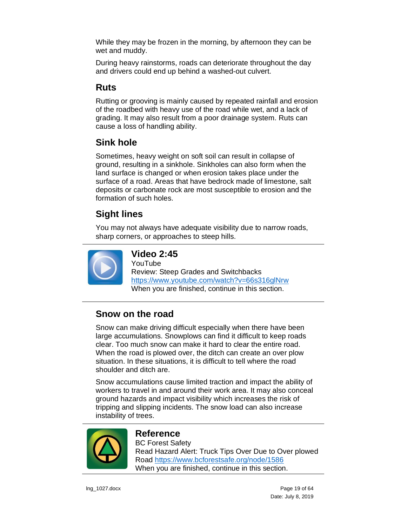While they may be frozen in the morning, by afternoon they can be wet and muddy.

During heavy rainstorms, roads can deteriorate throughout the day and drivers could end up behind a washed-out culvert.

### <span id="page-18-0"></span>**Ruts**

Rutting or grooving is mainly caused by repeated rainfall and erosion of the roadbed with heavy use of the road while wet, and a lack of grading. It may also result from a poor drainage system. Ruts can cause a loss of handling ability.

### <span id="page-18-1"></span>**Sink hole**

Sometimes, heavy weight on soft soil can result in collapse of ground, resulting in a sinkhole. Sinkholes can also form when the land surface is changed or when erosion takes place under the surface of a road. Areas that have bedrock made of limestone, salt deposits or carbonate rock are most susceptible to erosion and the formation of such holes.

### <span id="page-18-2"></span>**Sight lines**

You may not always have adequate visibility due to narrow roads, sharp corners, or approaches to steep hills.



### **Video 2:45**

YouTube Review: Steep Grades and Switchbacks <https://www.youtube.com/watch?v=66s316glNrw> When you are finished, continue in this section.

### <span id="page-18-3"></span>**Snow on the road**

Snow can make driving difficult especially when there have been large accumulations. Snowplows can find it difficult to keep roads clear. Too much snow can make it hard to clear the entire road. When the road is plowed over, the ditch can create an over plow situation. In these situations, it is difficult to tell where the road shoulder and ditch are.

Snow accumulations cause limited traction and impact the ability of workers to travel in and around their work area. It may also conceal ground hazards and impact visibility which increases the risk of tripping and slipping incidents. The snow load can also increase instability of trees.



### **Reference**

BC Forest Safety Read Hazard Alert: Truck Tips Over Due to Over plowed Road <https://www.bcforestsafe.org/node/1586> When you are finished, continue in this section.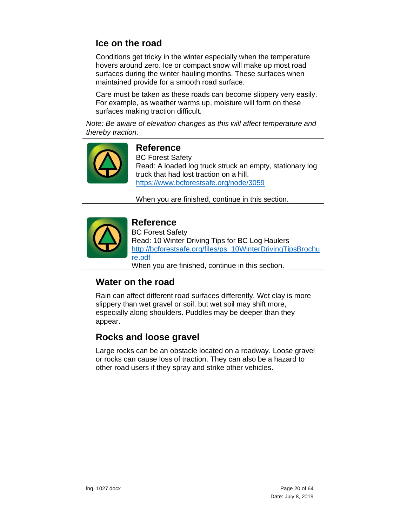### <span id="page-19-0"></span>**Ice on the road**

Conditions get tricky in the winter especially when the temperature hovers around zero. Ice or compact snow will make up most road surfaces during the winter hauling months. These surfaces when maintained provide for a smooth road surface.

Care must be taken as these roads can become slippery very easily. For example, as weather warms up, moisture will form on these surfaces making traction difficult.

*Note: Be aware of elevation changes as this will affect temperature and thereby traction.*



#### **Reference**

BC Forest Safety Read: A loaded log truck struck an empty, stationary log truck that had lost traction on a hill. <https://www.bcforestsafe.org/node/3059>

When you are finished, continue in this section.



#### **Reference**

BC Forest Safety Read: 10 Winter Driving Tips for BC Log Haulers [http://bcforestsafe.org/files/ps\\_10WinterDrivingTipsBrochu](http://bcforestsafe.org/files/ps_10WinterDrivingTipsBrochure.pdf) [re.pdf](http://bcforestsafe.org/files/ps_10WinterDrivingTipsBrochure.pdf) When you are finished, continue in this section.

### <span id="page-19-1"></span>**Water on the road**

Rain can affect different road surfaces differently. Wet clay is more slippery than wet gravel or soil, but wet soil may shift more, especially along shoulders. Puddles may be deeper than they appear.

### <span id="page-19-2"></span>**Rocks and loose gravel**

Large rocks can be an obstacle located on a roadway. Loose gravel or rocks can cause loss of traction. They can also be a hazard to other road users if they spray and strike other vehicles.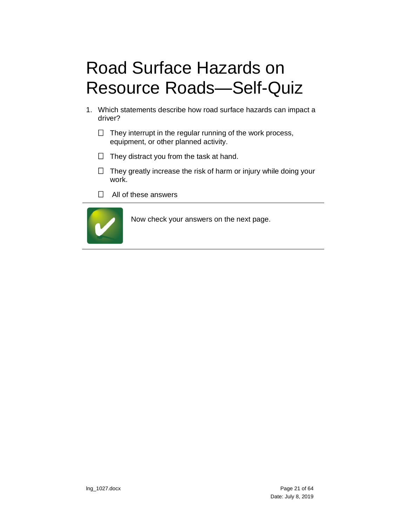# <span id="page-20-0"></span>Road Surface Hazards on Resource Roads—Self-Quiz

- 1. Which statements describe how road surface hazards can impact a driver?
	- $\Box$  They interrupt in the regular running of the work process, equipment, or other planned activity.
	- $\Box$  They distract you from the task at hand.
	- $\Box$  They greatly increase the risk of harm or injury while doing your work.
	- □ All of these answers

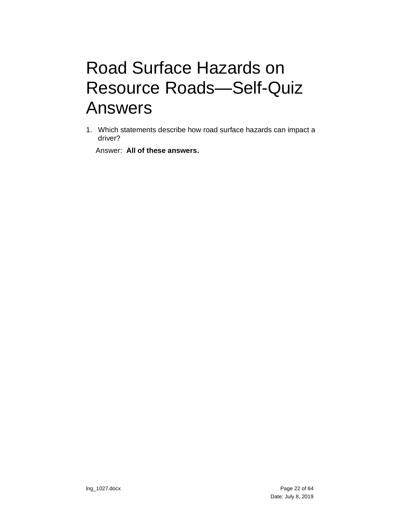## <span id="page-21-0"></span>Road Surface Hazards on Resource Roads—Self-Quiz Answers

1. Which statements describe how road surface hazards can impact a driver?

Answer: **All of these answers.**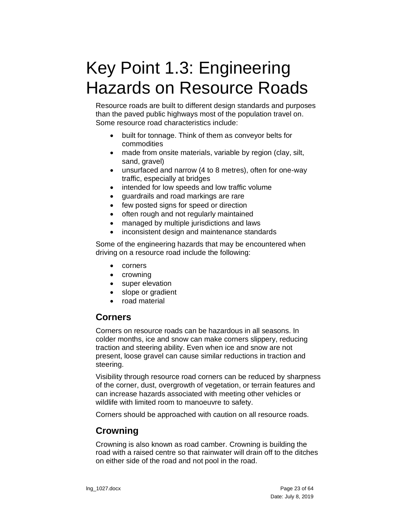# <span id="page-22-0"></span>Key Point 1.3: Engineering Hazards on Resource Roads

Resource roads are built to different design standards and purposes than the paved public highways most of the population travel on. Some resource road characteristics include:

- built for tonnage. Think of them as conveyor belts for commodities
- made from onsite materials, variable by region (clay, silt, sand, gravel)
- unsurfaced and narrow (4 to 8 metres), often for one-way traffic, especially at bridges
- intended for low speeds and low traffic volume
- guardrails and road markings are rare
- few posted signs for speed or direction
- often rough and not regularly maintained
- managed by multiple jurisdictions and laws
- inconsistent design and maintenance standards

Some of the engineering hazards that may be encountered when driving on a resource road include the following:

- corners
- crowning
- super elevation
- slope or gradient
- road material

#### <span id="page-22-1"></span>**Corners**

Corners on resource roads can be hazardous in all seasons. In colder months, ice and snow can make corners slippery, reducing traction and steering ability. Even when ice and snow are not present, loose gravel can cause similar reductions in traction and steering.

Visibility through resource road corners can be reduced by sharpness of the corner, dust, overgrowth of vegetation, or terrain features and can increase hazards associated with meeting other vehicles or wildlife with limited room to manoeuvre to safety.

Corners should be approached with caution on all resource roads.

### <span id="page-22-2"></span>**Crowning**

Crowning is also known as road camber. Crowning is building the road with a raised centre so that rainwater will drain off to the ditches on either side of the road and not pool in the road.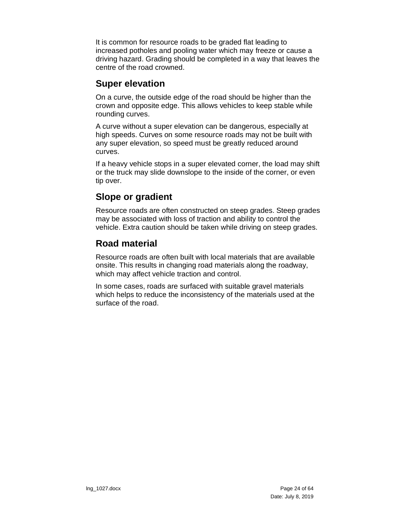It is common for resource roads to be graded flat leading to increased potholes and pooling water which may freeze or cause a driving hazard. Grading should be completed in a way that leaves the centre of the road crowned.

#### <span id="page-23-0"></span>**Super elevation**

On a curve, the outside edge of the road should be higher than the crown and opposite edge. This allows vehicles to keep stable while rounding curves.

A curve without a super elevation can be dangerous, especially at high speeds. Curves on some resource roads may not be built with any super elevation, so speed must be greatly reduced around curves.

If a heavy vehicle stops in a super elevated corner, the load may shift or the truck may slide downslope to the inside of the corner, or even tip over.

### <span id="page-23-1"></span>**Slope or gradient**

Resource roads are often constructed on steep grades. Steep grades may be associated with loss of traction and ability to control the vehicle. Extra caution should be taken while driving on steep grades.

### <span id="page-23-2"></span>**Road material**

Resource roads are often built with local materials that are available onsite. This results in changing road materials along the roadway, which may affect vehicle traction and control.

In some cases, roads are surfaced with suitable gravel materials which helps to reduce the inconsistency of the materials used at the surface of the road.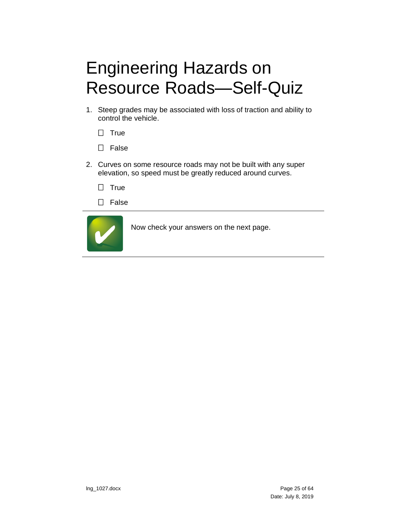# <span id="page-24-0"></span>Engineering Hazards on Resource Roads—Self-Quiz

- 1. Steep grades may be associated with loss of traction and ability to control the vehicle.
	- $\Box$  True
	- $\Box$  False
- 2. Curves on some resource roads may not be built with any super elevation, so speed must be greatly reduced around curves.
	- $\Box$  True
	- $\Box$  False

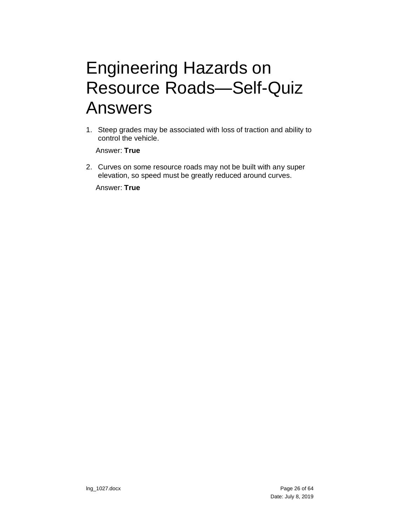## <span id="page-25-0"></span>Engineering Hazards on Resource Roads—Self-Quiz Answers

1. Steep grades may be associated with loss of traction and ability to control the vehicle.

Answer: **True**

2. Curves on some resource roads may not be built with any super elevation, so speed must be greatly reduced around curves.

Answer: **True**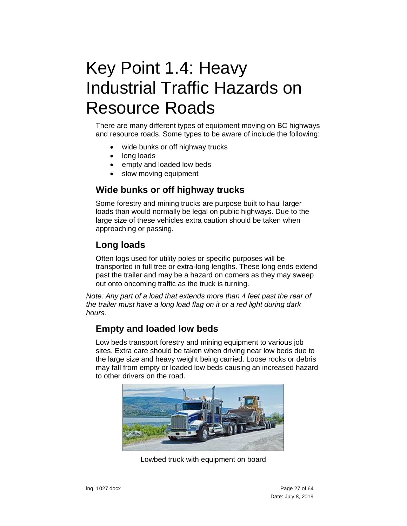# <span id="page-26-0"></span>Key Point 1.4: Heavy Industrial Traffic Hazards on Resource Roads

There are many different types of equipment moving on BC highways and resource roads. Some types to be aware of include the following:

- wide bunks or off highway trucks
- long loads
- empty and loaded low beds
- slow moving equipment

#### <span id="page-26-1"></span>**Wide bunks or off highway trucks**

Some forestry and mining trucks are purpose built to haul larger loads than would normally be legal on public highways. Due to the large size of these vehicles extra caution should be taken when approaching or passing.

#### <span id="page-26-2"></span>**Long loads**

Often logs used for utility poles or specific purposes will be transported in full tree or extra-long lengths. These long ends extend past the trailer and may be a hazard on corners as they may sweep out onto oncoming traffic as the truck is turning.

*Note: Any part of a load that extends more than 4 feet past the rear of the trailer must have a long load flag on it or a red light during dark hours.*

#### <span id="page-26-3"></span>**Empty and loaded low beds**

Low beds transport forestry and mining equipment to various job sites. Extra care should be taken when driving near low beds due to the large size and heavy weight being carried. Loose rocks or debris may fall from empty or loaded low beds causing an increased hazard to other drivers on the road.



Lowbed truck with equipment on board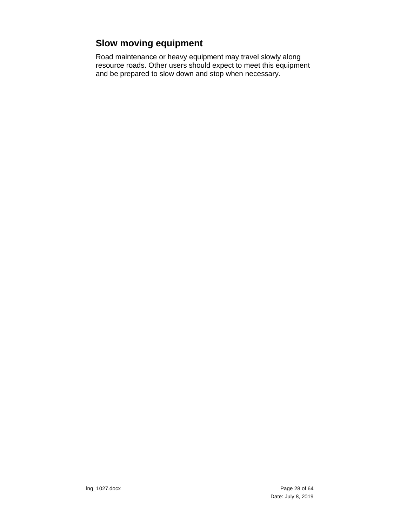### <span id="page-27-0"></span>**Slow moving equipment**

Road maintenance or heavy equipment may travel slowly along resource roads. Other users should expect to meet this equipment and be prepared to slow down and stop when necessary.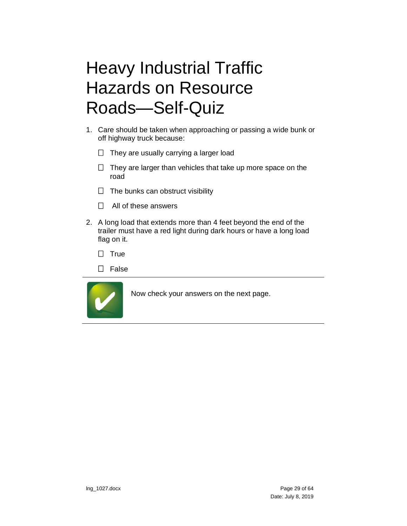# <span id="page-28-0"></span>Heavy Industrial Traffic Hazards on Resource Roads—Self-Quiz

- 1. Care should be taken when approaching or passing a wide bunk or off highway truck because:
	- $\Box$  They are usually carrying a larger load
	- $\Box$  They are larger than vehicles that take up more space on the road
	- $\Box$  The bunks can obstruct visibility
	- $\Box$  All of these answers
- 2. A long load that extends more than 4 feet beyond the end of the trailer must have a red light during dark hours or have a long load flag on it.
	- $\Box$  True
	- $\Box$  False

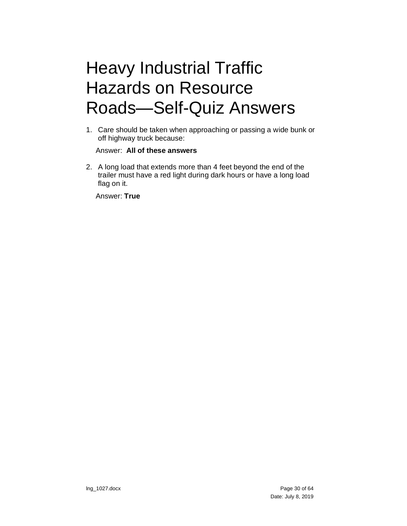# <span id="page-29-0"></span>Heavy Industrial Traffic Hazards on Resource Roads—Self-Quiz Answers

1. Care should be taken when approaching or passing a wide bunk or off highway truck because:

#### Answer: **All of these answers**

2. A long load that extends more than 4 feet beyond the end of the trailer must have a red light during dark hours or have a long load flag on it.

Answer: **True**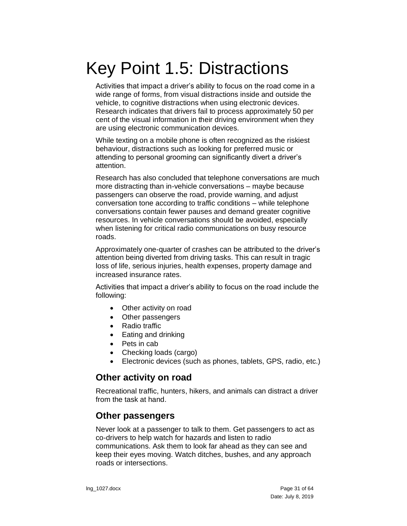# <span id="page-30-0"></span>Key Point 1.5: Distractions

Activities that impact a driver's ability to focus on the road come in a wide range of forms, from visual distractions inside and outside the vehicle, to cognitive distractions when using electronic devices. Research indicates that drivers fail to process approximately 50 per cent of the visual information in their driving environment when they are using electronic communication devices.

While texting on a mobile phone is often recognized as the riskiest behaviour, distractions such as looking for preferred music or attending to personal grooming can significantly divert a driver's attention.

Research has also concluded that telephone conversations are much more distracting than in-vehicle conversations – maybe because passengers can observe the road, provide warning, and adjust conversation tone according to traffic conditions – while telephone conversations contain fewer pauses and demand greater cognitive resources. In vehicle conversations should be avoided, especially when listening for critical radio communications on busy resource roads.

Approximately one-quarter of crashes can be attributed to the driver's attention being diverted from driving tasks. This can result in tragic loss of life, serious injuries, health expenses, property damage and increased insurance rates.

Activities that impact a driver's ability to focus on the road include the following:

- Other activity on road
- Other passengers
- Radio traffic
- Eating and drinking
- Pets in cab
- Checking loads (cargo)
- Electronic devices (such as phones, tablets, GPS, radio, etc.)

#### <span id="page-30-1"></span>**Other activity on road**

Recreational traffic, hunters, hikers, and animals can distract a driver from the task at hand.

#### <span id="page-30-2"></span>**Other passengers**

Never look at a passenger to talk to them. Get passengers to act as co-drivers to help watch for hazards and listen to radio communications. Ask them to look far ahead as they can see and keep their eyes moving. Watch ditches, bushes, and any approach roads or intersections.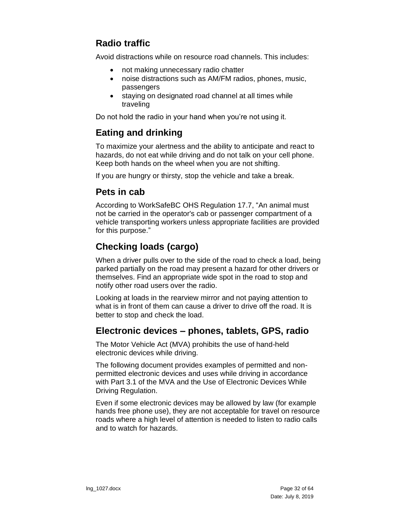### <span id="page-31-0"></span>**Radio traffic**

Avoid distractions while on resource road channels. This includes:

- not making unnecessary radio chatter
- noise distractions such as AM/FM radios, phones, music, passengers
- staying on designated road channel at all times while traveling

Do not hold the radio in your hand when you're not using it.

#### <span id="page-31-1"></span>**Eating and drinking**

To maximize your alertness and the ability to anticipate and react to hazards, do not eat while driving and do not talk on your cell phone. Keep both hands on the wheel when you are not shifting.

If you are hungry or thirsty, stop the vehicle and take a break.

#### <span id="page-31-2"></span>**Pets in cab**

According to WorkSafeBC OHS Regulation 17.7, "An animal must not be carried in the operator's cab or passenger compartment of a vehicle transporting workers unless appropriate facilities are provided for this purpose."

### <span id="page-31-3"></span>**Checking loads (cargo)**

When a driver pulls over to the side of the road to check a load, being parked partially on the road may present a hazard for other drivers or themselves. Find an appropriate wide spot in the road to stop and notify other road users over the radio.

Looking at loads in the rearview mirror and not paying attention to what is in front of them can cause a driver to drive off the road. It is better to stop and check the load.

#### <span id="page-31-4"></span>**Electronic devices – phones, tablets, GPS, radio**

The Motor Vehicle Act (MVA) prohibits the use of hand-held electronic devices while driving.

The following document provides examples of permitted and nonpermitted electronic devices and uses while driving in accordance with Part 3.1 of the MVA and the Use of Electronic Devices While Driving Regulation.

Even if some electronic devices may be allowed by law (for example hands free phone use), they are not acceptable for travel on resource roads where a high level of attention is needed to listen to radio calls and to watch for hazards.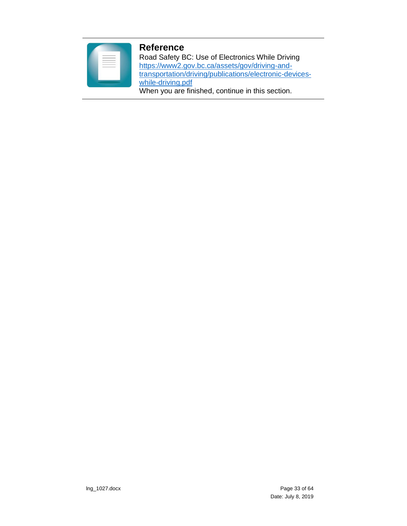#### **Reference**

Road Safety BC: Use of Electronics While Driving [https://www2.gov.bc.ca/assets/gov/driving-and](https://www2.gov.bc.ca/assets/gov/driving-and-transportation/driving/publications/electronic-devices-while-driving.pdf)[transportation/driving/publications/electronic-devices](https://www2.gov.bc.ca/assets/gov/driving-and-transportation/driving/publications/electronic-devices-while-driving.pdf)[while-driving.pdf](https://www2.gov.bc.ca/assets/gov/driving-and-transportation/driving/publications/electronic-devices-while-driving.pdf) When you are finished, continue in this section.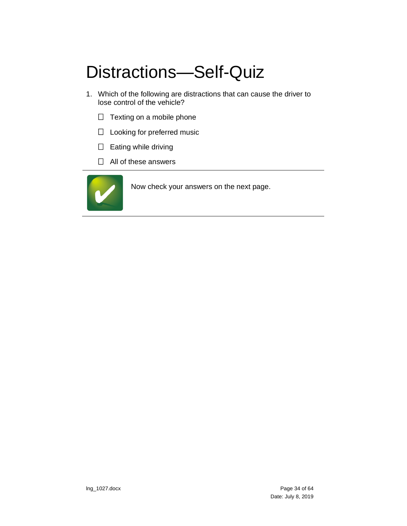# <span id="page-33-0"></span>Distractions—Self-Quiz

- 1. Which of the following are distractions that can cause the driver to lose control of the vehicle?
	- $\Box$  Texting on a mobile phone
	- □ Looking for preferred music
	- $\square$  Eating while driving
	- $\Box$  All of these answers

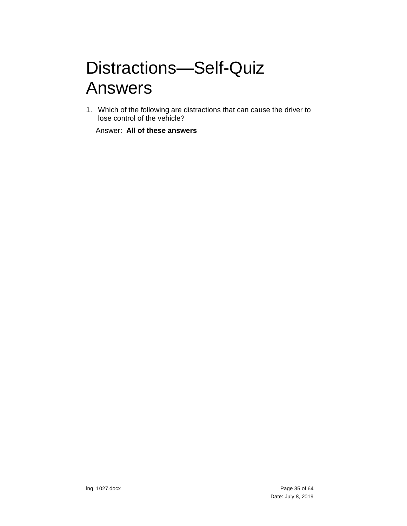## <span id="page-34-0"></span>Distractions—Self-Quiz Answers

1. Which of the following are distractions that can cause the driver to lose control of the vehicle?

Answer: **All of these answers**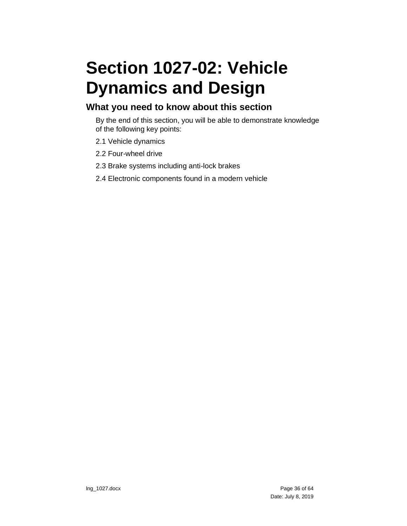# <span id="page-35-0"></span>**Section 1027-02: Vehicle Dynamics and Design**

#### **What you need to know about this section**

By the end of this section, you will be able to demonstrate knowledge of the following key points:

- 2.1 Vehicle dynamics
- 2.2 Four-wheel drive
- 2.3 Brake systems including anti-lock brakes
- 2.4 Electronic components found in a modern vehicle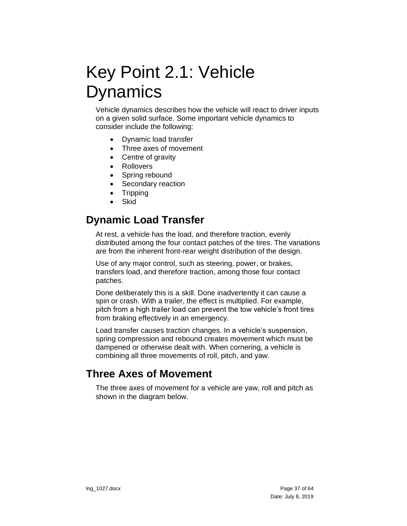## <span id="page-36-0"></span>Key Point 2.1: Vehicle **Dynamics**

Vehicle dynamics describes how the vehicle will react to driver inputs on a given solid surface. Some important vehicle dynamics to consider include the following:

- Dynamic load transfer
- Three axes of movement
- Centre of gravity
- Rollovers
- Spring rebound
- Secondary reaction
- Tripping
- Skid

### <span id="page-36-1"></span>**Dynamic Load Transfer**

At rest, a vehicle has the load, and therefore traction, evenly distributed among the four contact patches of the tires. The variations are from the inherent front-rear weight distribution of the design.

Use of any major control, such as steering, power, or brakes, transfers load, and therefore traction, among those four contact patches.

Done deliberately this is a skill. Done inadvertently it can cause a spin or crash. With a trailer, the effect is multiplied. For example, pitch from a high trailer load can prevent the tow vehicle's front tires from braking effectively in an emergency.

Load transfer causes traction changes. In a vehicle's suspension, spring compression and rebound creates movement which must be dampened or otherwise dealt with. When cornering, a vehicle is combining all three movements of roll, pitch, and yaw.

### <span id="page-36-2"></span>**Three Axes of Movement**

The three axes of movement for a vehicle are yaw, roll and pitch as shown in the diagram below.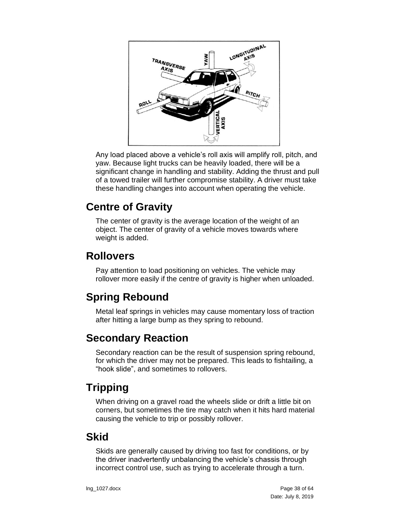

Any load placed above a vehicle's roll axis will amplify roll, pitch, and yaw. Because light trucks can be heavily loaded, there will be a significant change in handling and stability. Adding the thrust and pull of a towed trailer will further compromise stability. A driver must take these handling changes into account when operating the vehicle.

## <span id="page-37-0"></span>**Centre of Gravity**

The center of gravity is the average location of the weight of an object. The center of gravity of a vehicle moves towards where weight is added.

### <span id="page-37-1"></span>**Rollovers**

Pay attention to load positioning on vehicles. The vehicle may rollover more easily if the centre of gravity is higher when unloaded.

## <span id="page-37-2"></span>**Spring Rebound**

Metal leaf springs in vehicles may cause momentary loss of traction after hitting a large bump as they spring to rebound.

## <span id="page-37-3"></span>**Secondary Reaction**

Secondary reaction can be the result of suspension spring rebound, for which the driver may not be prepared. This leads to fishtailing, a "hook slide", and sometimes to rollovers.

## <span id="page-37-4"></span>**Tripping**

When driving on a gravel road the wheels slide or drift a little bit on corners, but sometimes the tire may catch when it hits hard material causing the vehicle to trip or possibly rollover.

### <span id="page-37-5"></span>**Skid**

Skids are generally caused by driving too fast for conditions, or by the driver inadvertently unbalancing the vehicle's chassis through incorrect control use, such as trying to accelerate through a turn.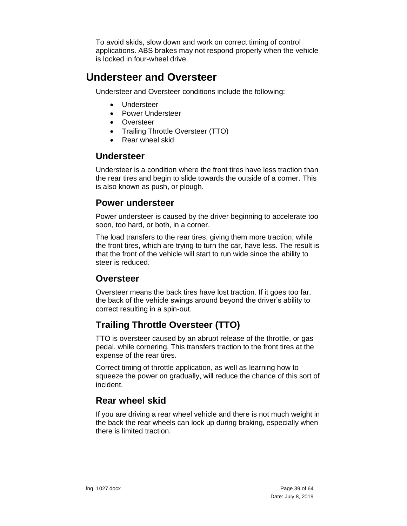To avoid skids, slow down and work on correct timing of control applications. ABS brakes may not respond properly when the vehicle is locked in four-wheel drive.

### <span id="page-38-0"></span>**Understeer and Oversteer**

Understeer and Oversteer conditions include the following:

- Understeer
- Power Understeer
- Oversteer
- Trailing Throttle Oversteer (TTO)
- Rear wheel skid

#### <span id="page-38-1"></span>**Understeer**

Understeer is a condition where the front tires have less traction than the rear tires and begin to slide towards the outside of a corner. This is also known as push, or plough.

#### <span id="page-38-2"></span>**Power understeer**

Power understeer is caused by the driver beginning to accelerate too soon, too hard, or both, in a corner.

The load transfers to the rear tires, giving them more traction, while the front tires, which are trying to turn the car, have less. The result is that the front of the vehicle will start to run wide since the ability to steer is reduced.

### <span id="page-38-3"></span>**Oversteer**

Oversteer means the back tires have lost traction. If it goes too far, the back of the vehicle swings around beyond the driver's ability to correct resulting in a spin-out.

### <span id="page-38-4"></span>**Trailing Throttle Oversteer (TTO)**

TTO is oversteer caused by an abrupt release of the throttle, or gas pedal, while cornering. This transfers traction to the front tires at the expense of the rear tires.

Correct timing of throttle application, as well as learning how to squeeze the power on gradually, will reduce the chance of this sort of incident.

### <span id="page-38-5"></span>**Rear wheel skid**

If you are driving a rear wheel vehicle and there is not much weight in the back the rear wheels can lock up during braking, especially when there is limited traction.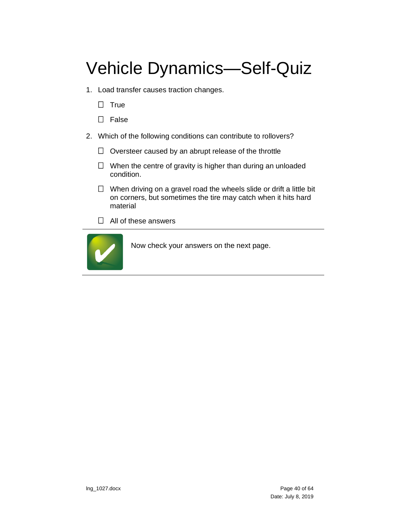# <span id="page-39-0"></span>Vehicle Dynamics—Self-Quiz

- 1. Load transfer causes traction changes.
	- $\Box$  True
	- $\Box$  False
- 2. Which of the following conditions can contribute to rollovers?
	- $\Box$  Oversteer caused by an abrupt release of the throttle
	- $\Box$  When the centre of gravity is higher than during an unloaded condition.
	- $\Box$  When driving on a gravel road the wheels slide or drift a little bit on corners, but sometimes the tire may catch when it hits hard material
	- $\Box$  All of these answers

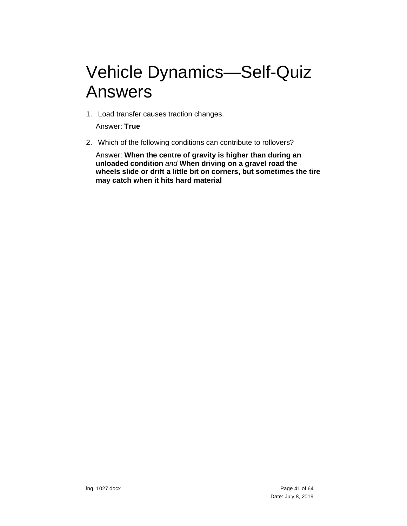## <span id="page-40-0"></span>Vehicle Dynamics—Self-Quiz Answers

1. Load transfer causes traction changes.

Answer: **True**

2. Which of the following conditions can contribute to rollovers?

Answer: **When the centre of gravity is higher than during an unloaded condition** *and* **When driving on a gravel road the wheels slide or drift a little bit on corners, but sometimes the tire may catch when it hits hard material**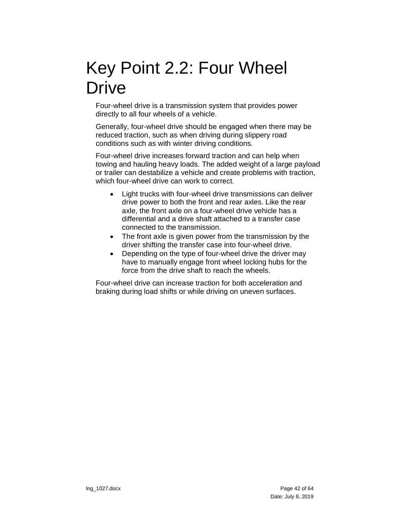## <span id="page-41-0"></span>Key Point 2.2: Four Wheel **Drive**

Four-wheel drive is a transmission system that provides power directly to all four wheels of a vehicle.

Generally, four-wheel drive should be engaged when there may be reduced traction, such as when driving during slippery road conditions such as with winter driving conditions.

Four-wheel drive increases forward traction and can help when towing and hauling heavy loads. The added weight of a large payload or trailer can destabilize a vehicle and create problems with traction, which four-wheel drive can work to correct.

- Light trucks with four-wheel drive transmissions can deliver drive power to both the front and rear axles. Like the rear axle, the front axle on a four-wheel drive vehicle has a differential and a drive shaft attached to a transfer case connected to the transmission.
- The front axle is given power from the transmission by the driver shifting the transfer case into four-wheel drive.
- Depending on the type of four-wheel drive the driver may have to manually engage front wheel locking hubs for the force from the drive shaft to reach the wheels.

Four-wheel drive can increase traction for both acceleration and braking during load shifts or while driving on uneven surfaces.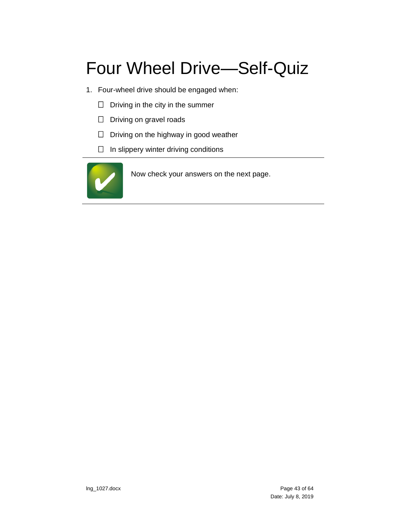# <span id="page-42-0"></span>Four Wheel Drive—Self-Quiz

- 1. Four-wheel drive should be engaged when:
	- $\Box$  Driving in the city in the summer
	- $\Box$  Driving on gravel roads
	- $\Box$  Driving on the highway in good weather
	- $\Box$  In slippery winter driving conditions

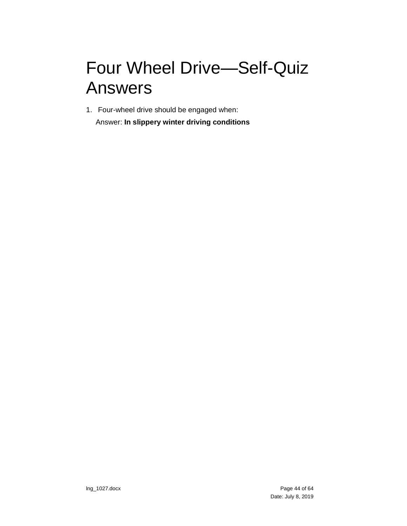# <span id="page-43-0"></span>Four Wheel Drive—Self-Quiz Answers

1. Four-wheel drive should be engaged when: Answer: **In slippery winter driving conditions**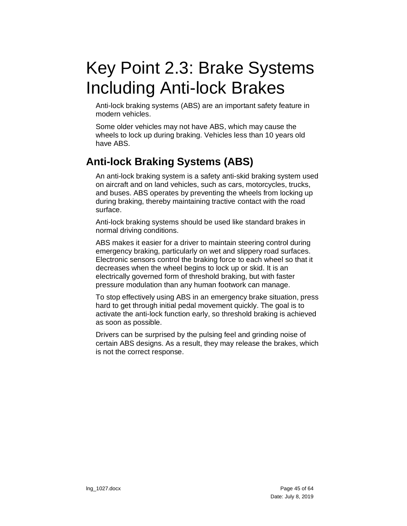# <span id="page-44-0"></span>Key Point 2.3: Brake Systems Including Anti-lock Brakes

Anti-lock braking systems (ABS) are an important safety feature in modern vehicles.

Some older vehicles may not have ABS, which may cause the wheels to lock up during braking. Vehicles less than 10 years old have ABS.

### <span id="page-44-1"></span>**Anti-lock Braking Systems (ABS)**

An anti-lock braking system is a safety anti-skid braking system used on aircraft and on land vehicles, such as cars, motorcycles, trucks, and buses. ABS operates by preventing the wheels from locking up during braking, thereby maintaining tractive contact with the road surface.

Anti-lock braking systems should be used like standard brakes in normal driving conditions.

ABS makes it easier for a driver to maintain steering control during emergency braking, particularly on wet and slippery road surfaces. Electronic sensors control the braking force to each wheel so that it decreases when the wheel begins to lock up or skid. It is an electrically governed form of threshold braking, but with faster pressure modulation than any human footwork can manage.

To stop effectively using ABS in an emergency brake situation, press hard to get through initial pedal movement quickly. The goal is to activate the anti-lock function early, so threshold braking is achieved as soon as possible.

Drivers can be surprised by the pulsing feel and grinding noise of certain ABS designs. As a result, they may release the brakes, which is not the correct response.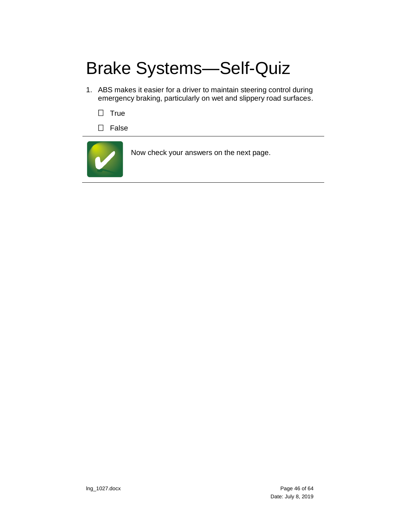# <span id="page-45-0"></span>Brake Systems—Self-Quiz

- 1. ABS makes it easier for a driver to maintain steering control during emergency braking, particularly on wet and slippery road surfaces.
	- $\Box$  True
	- $\square$  False

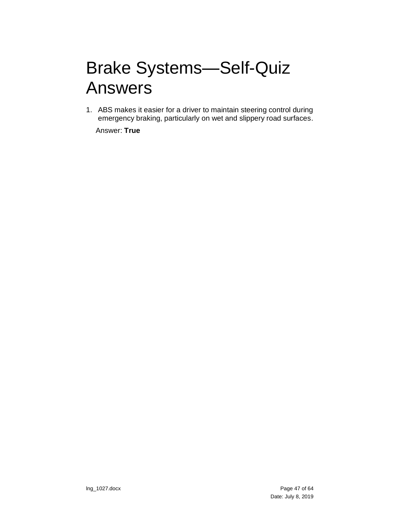## <span id="page-46-0"></span>Brake Systems—Self-Quiz Answers

1. ABS makes it easier for a driver to maintain steering control during emergency braking, particularly on wet and slippery road surfaces.

Answer: **True**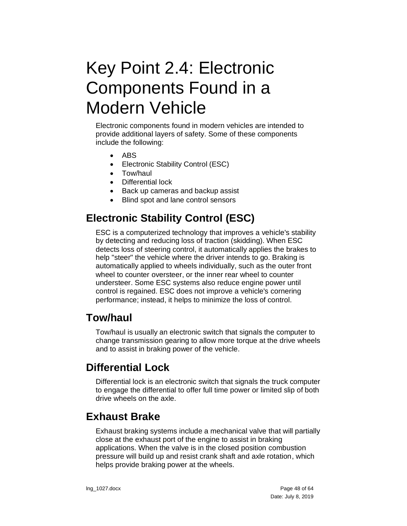## <span id="page-47-0"></span>Key Point 2.4: Electronic Components Found in a Modern Vehicle

Electronic components found in modern vehicles are intended to provide additional layers of safety. Some of these components include the following:

- ABS
- Electronic Stability Control (ESC)
- Tow/haul
- Differential lock
- Back up cameras and backup assist
- Blind spot and lane control sensors

## <span id="page-47-1"></span>**Electronic Stability Control (ESC)**

ESC is a computerized technology that improves a vehicle's stability by detecting and reducing loss of traction (skidding). When ESC detects loss of steering control, it automatically applies the brakes to help "steer" the vehicle where the driver intends to go. Braking is automatically applied to wheels individually, such as the outer front wheel to counter oversteer, or the inner rear wheel to counter understeer. Some ESC systems also reduce engine power until control is regained. ESC does not improve a vehicle's cornering performance; instead, it helps to minimize the loss of control.

### <span id="page-47-2"></span>**Tow/haul**

Tow/haul is usually an electronic switch that signals the computer to change transmission gearing to allow more torque at the drive wheels and to assist in braking power of the vehicle.

### <span id="page-47-3"></span>**Differential Lock**

Differential lock is an electronic switch that signals the truck computer to engage the differential to offer full time power or limited slip of both drive wheels on the axle.

### <span id="page-47-4"></span>**Exhaust Brake**

Exhaust braking systems include a mechanical valve that will partially close at the exhaust port of the engine to assist in braking applications. When the valve is in the closed position combustion pressure will build up and resist crank shaft and axle rotation, which helps provide braking power at the wheels.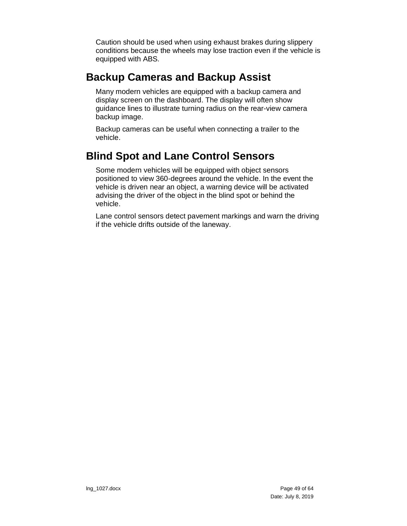Caution should be used when using exhaust brakes during slippery conditions because the wheels may lose traction even if the vehicle is equipped with ABS.

### <span id="page-48-0"></span>**Backup Cameras and Backup Assist**

Many modern vehicles are equipped with a backup camera and display screen on the dashboard. The display will often show guidance lines to illustrate turning radius on the rear-view camera backup image.

Backup cameras can be useful when connecting a trailer to the vehicle.

## <span id="page-48-1"></span>**Blind Spot and Lane Control Sensors**

Some modern vehicles will be equipped with object sensors positioned to view 360-degrees around the vehicle. In the event the vehicle is driven near an object, a warning device will be activated advising the driver of the object in the blind spot or behind the vehicle.

Lane control sensors detect pavement markings and warn the driving if the vehicle drifts outside of the laneway.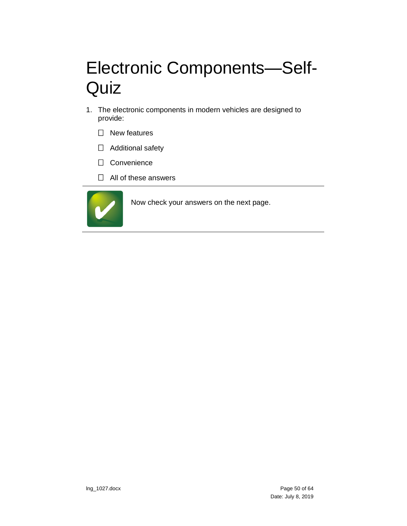# <span id="page-49-0"></span>Electronic Components—Self-**Quiz**

- 1. The electronic components in modern vehicles are designed to provide:
	- $\square$  New features
	- □ Additional safety
	- □ Convenience
	- $\Box$  All of these answers

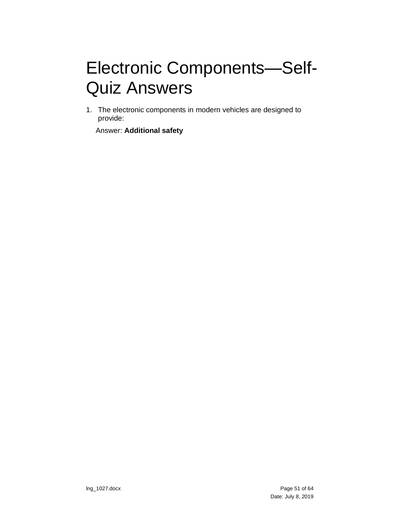# <span id="page-50-0"></span>Electronic Components—Self-Quiz Answers

1. The electronic components in modern vehicles are designed to provide:

Answer: **Additional safety**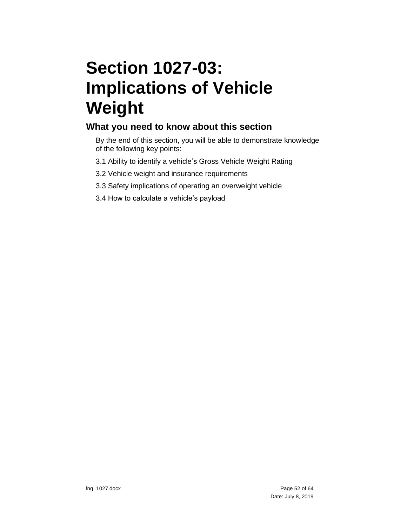# <span id="page-51-0"></span>**Section 1027-03: Implications of Vehicle Weight**

### **What you need to know about this section**

By the end of this section, you will be able to demonstrate knowledge of the following key points:

- 3.1 Ability to identify a vehicle's Gross Vehicle Weight Rating
- 3.2 Vehicle weight and insurance requirements
- 3.3 Safety implications of operating an overweight vehicle
- 3.4 How to calculate a vehicle's payload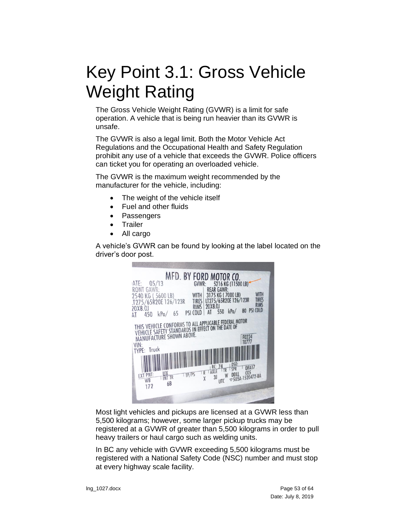# <span id="page-52-0"></span>Key Point 3.1: Gross Vehicle Weight Rating

The Gross Vehicle Weight Rating (GVWR) is a limit for safe operation. A vehicle that is being run heavier than its GVWR is unsafe.

The GVWR is also a legal limit. Both the Motor Vehicle Act Regulations and the Occupational Health and Safety Regulation prohibit any use of a vehicle that exceeds the GVWR. Police officers can ticket you for operating an overloaded vehicle.

The GVWR is the maximum weight recommended by the manufacturer for the vehicle, including:

- The weight of the vehicle itself
- Fuel and other fluids
- **Passengers**
- **Trailer**
- All cargo

A vehicle's GVWR can be found by looking at the label located on the driver's door post.



Most light vehicles and pickups are licensed at a GVWR less than 5,500 kilograms; however, some larger pickup trucks may be registered at a GVWR of greater than 5,500 kilograms in order to pull heavy trailers or haul cargo such as welding units.

In BC any vehicle with GVWR exceeding 5,500 kilograms must be registered with a National Safety Code (NSC) number and must stop at every highway scale facility.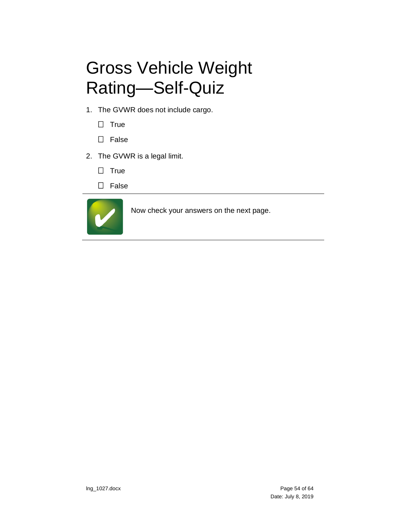# <span id="page-53-0"></span>Gross Vehicle Weight Rating—Self-Quiz

- 1. The GVWR does not include cargo.
	- $\Box$  True
	- $\square$  False
- 2. The GVWR is a legal limit.
	- $\square$  True
	- □ False

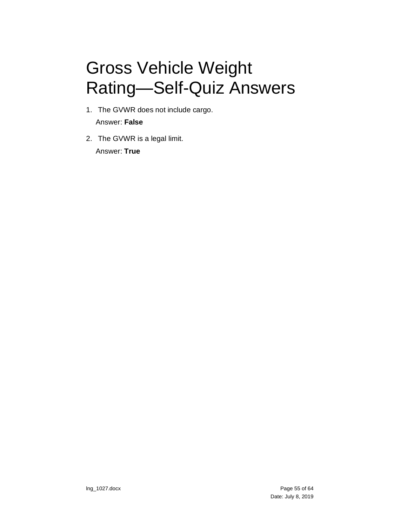# <span id="page-54-0"></span>Gross Vehicle Weight Rating—Self-Quiz Answers

- 1. The GVWR does not include cargo. Answer: **False**
- 2. The GVWR is a legal limit. Answer: **True**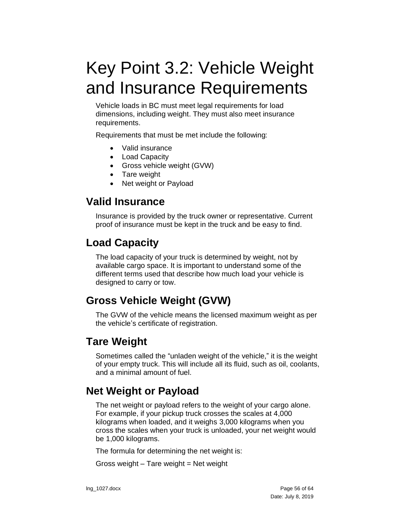# <span id="page-55-0"></span>Key Point 3.2: Vehicle Weight and Insurance Requirements

Vehicle loads in BC must meet legal requirements for load dimensions, including weight. They must also meet insurance requirements.

Requirements that must be met include the following:

- Valid insurance
- Load Capacity
- Gross vehicle weight (GVW)
- Tare weight
- Net weight or Payload

### <span id="page-55-1"></span>**Valid Insurance**

Insurance is provided by the truck owner or representative. Current proof of insurance must be kept in the truck and be easy to find.

### <span id="page-55-2"></span>**Load Capacity**

The load capacity of your truck is determined by weight, not by available cargo space. It is important to understand some of the different terms used that describe how much load your vehicle is designed to carry or tow.

### <span id="page-55-3"></span>**Gross Vehicle Weight (GVW)**

The GVW of the vehicle means the licensed maximum weight as per the vehicle's certificate of registration.

### <span id="page-55-4"></span>**Tare Weight**

Sometimes called the "unladen weight of the vehicle," it is the weight of your empty truck. This will include all its fluid, such as oil, coolants, and a minimal amount of fuel.

### <span id="page-55-5"></span>**Net Weight or Payload**

The net weight or payload refers to the weight of your cargo alone. For example, if your pickup truck crosses the scales at 4,000 kilograms when loaded, and it weighs 3,000 kilograms when you cross the scales when your truck is unloaded, your net weight would be 1,000 kilograms.

The formula for determining the net weight is:

Gross weight – Tare weight = Net weight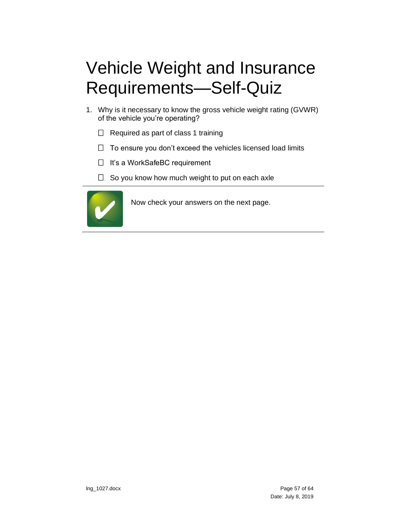# <span id="page-56-0"></span>Vehicle Weight and Insurance Requirements—Self-Quiz

- 1. Why is it necessary to know the gross vehicle weight rating (GVWR) of the vehicle you're operating?
	- $\Box$  Required as part of class 1 training
	- $\Box$  To ensure you don't exceed the vehicles licensed load limits
	- $\Box$  It's a WorkSafeBC requirement
	- $\Box$  So you know how much weight to put on each axle

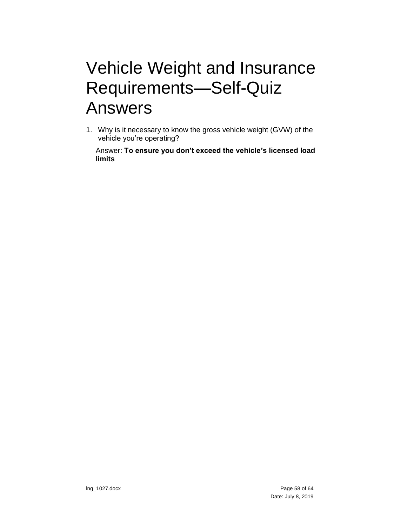## <span id="page-57-0"></span>Vehicle Weight and Insurance Requirements—Self-Quiz Answers

1. Why is it necessary to know the gross vehicle weight (GVW) of the vehicle you're operating?

Answer: **To ensure you don't exceed the vehicle's licensed load limits**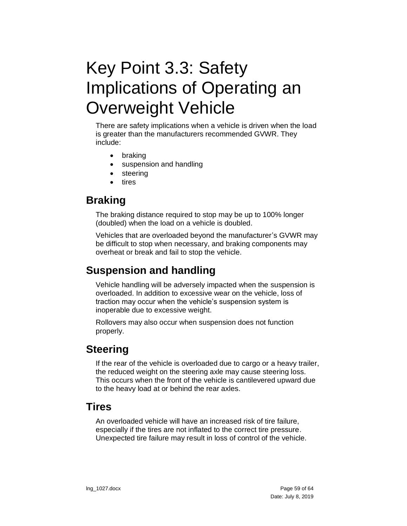# <span id="page-58-0"></span>Key Point 3.3: Safety Implications of Operating an Overweight Vehicle

There are safety implications when a vehicle is driven when the load is greater than the manufacturers recommended GVWR. They include:

- braking
- suspension and handling
- steering
- tires

### <span id="page-58-1"></span>**Braking**

The braking distance required to stop may be up to 100% longer (doubled) when the load on a vehicle is doubled.

Vehicles that are overloaded beyond the manufacturer's GVWR may be difficult to stop when necessary, and braking components may overheat or break and fail to stop the vehicle.

### <span id="page-58-2"></span>**Suspension and handling**

Vehicle handling will be adversely impacted when the suspension is overloaded. In addition to excessive wear on the vehicle, loss of traction may occur when the vehicle's suspension system is inoperable due to excessive weight.

Rollovers may also occur when suspension does not function properly.

### <span id="page-58-3"></span>**Steering**

If the rear of the vehicle is overloaded due to cargo or a heavy trailer, the reduced weight on the steering axle may cause steering loss. This occurs when the front of the vehicle is cantilevered upward due to the heavy load at or behind the rear axles.

### <span id="page-58-4"></span>**Tires**

An overloaded vehicle will have an increased risk of tire failure, especially if the tires are not inflated to the correct tire pressure. Unexpected tire failure may result in loss of control of the vehicle.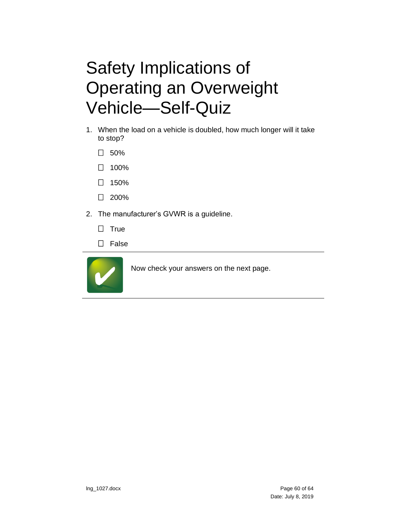# <span id="page-59-0"></span>Safety Implications of Operating an Overweight Vehicle—Self-Quiz

- 1. When the load on a vehicle is doubled, how much longer will it take to stop?
	- $\square$  50%
	- $\Box$  100%
	- $\Box$  150%
	- $\Box$  200%
- 2. The manufacturer's GVWR is a guideline.
	- $\Box$  True
	- □ False

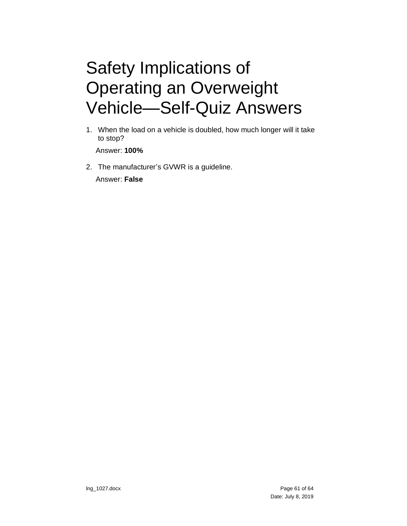# <span id="page-60-0"></span>Safety Implications of Operating an Overweight Vehicle—Self-Quiz Answers

1. When the load on a vehicle is doubled, how much longer will it take to stop?

Answer: **100%**

2. The manufacturer's GVWR is a guideline.

Answer: **False**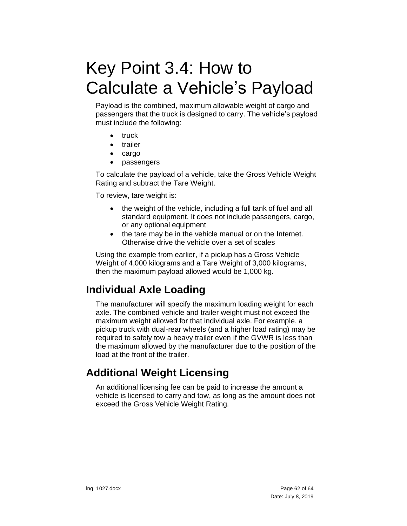# <span id="page-61-0"></span>Key Point 3.4: How to Calculate a Vehicle's Payload

Payload is the combined, maximum allowable weight of cargo and passengers that the truck is designed to carry. The vehicle's payload must include the following:

- truck
- trailer
- cargo
- passengers

To calculate the payload of a vehicle, take the Gross Vehicle Weight Rating and subtract the Tare Weight.

To review, tare weight is:

- the weight of the vehicle, including a full tank of fuel and all standard equipment. It does not include passengers, cargo, or any optional equipment
- the tare may be in the vehicle manual or on the Internet. Otherwise drive the vehicle over a set of scales

Using the example from earlier, if a pickup has a Gross Vehicle Weight of 4,000 kilograms and a Tare Weight of 3,000 kilograms, then the maximum payload allowed would be 1,000 kg.

## <span id="page-61-1"></span>**Individual Axle Loading**

The manufacturer will specify the maximum loading weight for each axle. The combined vehicle and trailer weight must not exceed the maximum weight allowed for that individual axle. For example, a pickup truck with dual-rear wheels (and a higher load rating) may be required to safely tow a heavy trailer even if the GVWR is less than the maximum allowed by the manufacturer due to the position of the load at the front of the trailer.

## <span id="page-61-2"></span>**Additional Weight Licensing**

An additional licensing fee can be paid to increase the amount a vehicle is licensed to carry and tow, as long as the amount does not exceed the Gross Vehicle Weight Rating.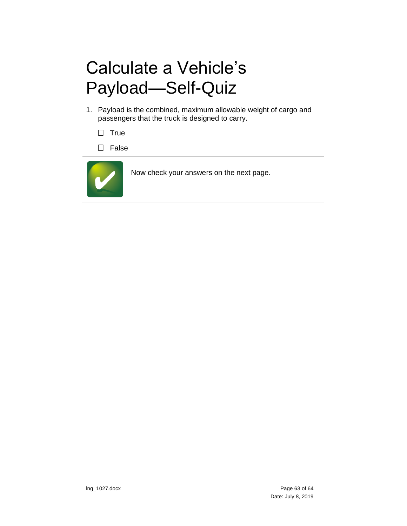# <span id="page-62-0"></span>Calculate a Vehicle's Payload—Self-Quiz

- 1. Payload is the combined, maximum allowable weight of cargo and passengers that the truck is designed to carry.
	- $\Box$  True
	- $\square$  False